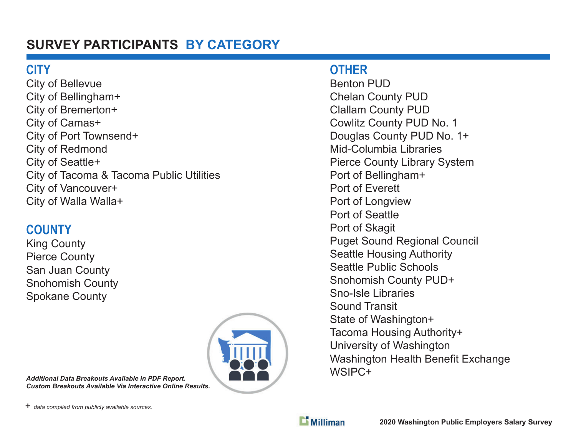# **SURVEY PARTICIPANTS BY CATEGORY**

## **CITY**

City of Bellevue City of Bellingham+ City of Bremerton+ City of Camas+ City of Port Townsend+ City of Redmond City of Seattle+ City of Tacoma & Tacoma Public Utilities City of Vancouver+ City of Walla Walla+

## **COUNTY**

King County Pierce County San Juan County Snohomish County Spokane County



#### *Additional Data Breakouts Available in PDF Report. Custom Breakouts Available Via Interactive Online Results.*

#### **OTHER**

Benton PUDChelan County PUD Clallam County PUD Cowlitz County PUD No. 1 Douglas County PUD No. 1+ Mid-Columbia LibrariesPierce County Library System Port of Bellingham+ Port of EverettPort of Longview Port of SeattlePort of Skagit Puget Sound Regional Council Seattle Housing Authority Seattle Public SchoolsSnohomish County PUD+ Sno-Isle LibrariesSound TransitState of Washington+ Tacoma Housing Authority+ University of Washington Washington Health Benefit Exchange WSIPC+